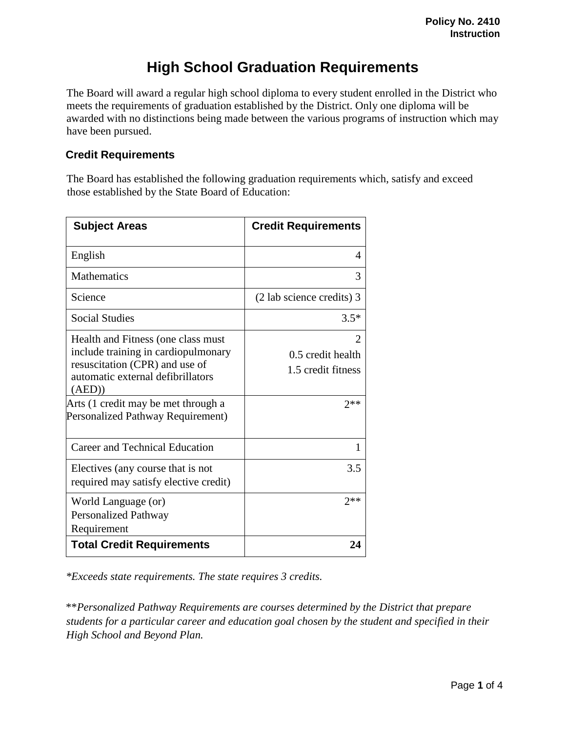# **High School Graduation Requirements**

The Board will award a regular high school diploma to every student enrolled in the District who meets the requirements of graduation established by the District. Only one diploma will be awarded with no distinctions being made between the various programs of instruction which may have been pursued.

#### **Credit Requirements**

The Board has established the following graduation requirements which, satisfy and exceed those established by the State Board of Education:

| <b>Subject Areas</b>                                                                                                                                       | <b>Credit Requirements</b>              |
|------------------------------------------------------------------------------------------------------------------------------------------------------------|-----------------------------------------|
| English                                                                                                                                                    | 4                                       |
| <b>Mathematics</b>                                                                                                                                         | 3                                       |
| Science                                                                                                                                                    | (2 lab science credits) 3               |
| <b>Social Studies</b>                                                                                                                                      | $3.5*$                                  |
| Health and Fitness (one class must)<br>include training in cardiopulmonary<br>resuscitation (CPR) and use of<br>automatic external defibrillators<br>(AED) | 0.5 credit health<br>1.5 credit fitness |
| Arts (1 credit may be met through a<br>Personalized Pathway Requirement)                                                                                   | $2**$                                   |
| Career and Technical Education                                                                                                                             | 1                                       |
| Electives (any course that is not<br>required may satisfy elective credit)                                                                                 | 3.5                                     |
| World Language (or)<br><b>Personalized Pathway</b><br>Requirement                                                                                          | つ**                                     |
| <b>Total Credit Requirements</b>                                                                                                                           | 24                                      |

*\*Exceeds state requirements. The state requires 3 credits.*

\*\**Personalized Pathway Requirements are courses determined by the District that prepare students for a particular career and education goal chosen by the student and specified in their High School and Beyond Plan.*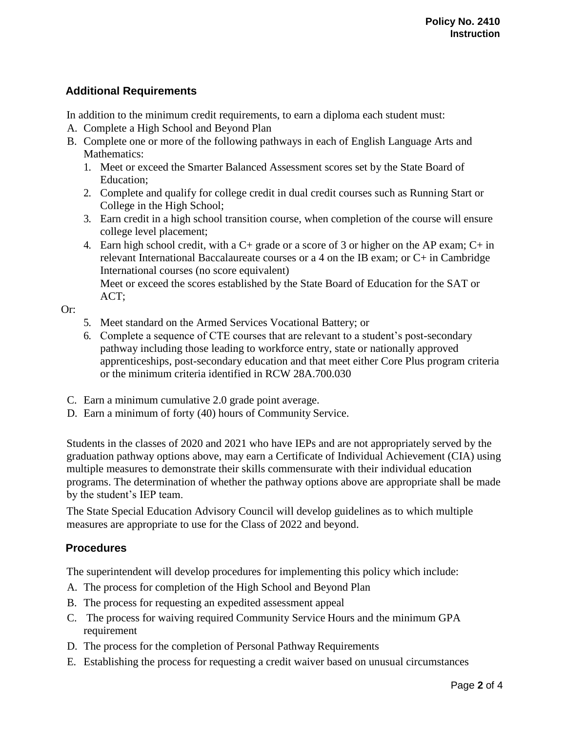## **Additional Requirements**

In addition to the minimum credit requirements, to earn a diploma each student must:

- A. Complete a High School and Beyond Plan
- B. Complete one or more of the following pathways in each of English Language Arts and Mathematics:
	- 1. Meet or exceed the Smarter Balanced Assessment scores set by the State Board of Education;
	- 2. Complete and qualify for college credit in dual credit courses such as Running Start or College in the High School;
	- 3. Earn credit in a high school transition course, when completion of the course will ensure college level placement;
	- 4. Earn high school credit, with a  $C+$  grade or a score of 3 or higher on the AP exam;  $C+$  in relevant International Baccalaureate courses or a 4 on the IB exam; or C+ in Cambridge International courses (no score equivalent)

Meet or exceed the scores established by the State Board of Education for the SAT or ACT;

Or:

- 5. Meet standard on the Armed Services Vocational Battery; or
- 6. Complete a sequence of CTE courses that are relevant to a student's post-secondary pathway including those leading to workforce entry, state or nationally approved apprenticeships, post-secondary education and that meet either Core Plus program criteria or the minimum criteria identified in RCW 28A.700.030
- C. Earn a minimum cumulative 2.0 grade point average.
- D. Earn a minimum of forty (40) hours of Community Service.

Students in the classes of 2020 and 2021 who have IEPs and are not appropriately served by the graduation pathway options above, may earn a Certificate of Individual Achievement (CIA) using multiple measures to demonstrate their skills commensurate with their individual education programs. The determination of whether the pathway options above are appropriate shall be made by the student's IEP team.

The State Special Education Advisory Council will develop guidelines as to which multiple measures are appropriate to use for the Class of 2022 and beyond.

## **Procedures**

The superintendent will develop procedures for implementing this policy which include:

- A. The process for completion of the High School and Beyond Plan
- B. The process for requesting an expedited assessment appeal
- C. The process for waiving required Community Service Hours and the minimum GPA requirement
- D. The process for the completion of Personal Pathway Requirements
- E. Establishing the process for requesting a credit waiver based on unusual circumstances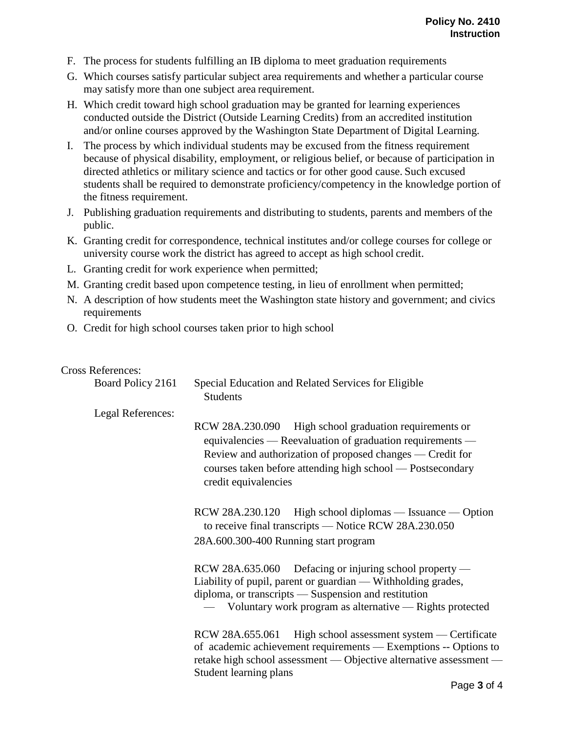- F. The process for students fulfilling an IB diploma to meet graduation requirements
- G. Which courses satisfy particular subject area requirements and whether a particular course may satisfy more than one subject area requirement.
- H. Which credit toward high school graduation may be granted for learning experiences conducted outside the District (Outside Learning Credits) from an accredited institution and/or online courses approved by the Washington State Department of Digital Learning.
- I. The process by which individual students may be excused from the fitness requirement because of physical disability, employment, or religious belief, or because of participation in directed athletics or military science and tactics or for other good cause. Such excused students shall be required to demonstrate proficiency/competency in the knowledge portion of the fitness requirement.
- J. Publishing graduation requirements and distributing to students, parents and members of the public.
- K. Granting credit for correspondence, technical institutes and/or college courses for college or university course work the district has agreed to accept as high school credit.
- L. Granting credit for work experience when permitted;
- M. Granting credit based upon competence testing, in lieu of enrollment when permitted;
- N. A description of how students meet the Washington state history and government; and civics requirements
- O. Credit for high school courses taken prior to high school

#### Cross References:

| Board Policy 2161 | Special Education and Related Services for Eligible |
|-------------------|-----------------------------------------------------|
|                   | <b>Students</b>                                     |

Legal References:

RCW 28A.230.090 High school graduation requirements or equivalencies — Reevaluation of graduation requirements — Review and authorization of proposed changes — Credit for courses taken before attending high school — Postsecondary credit equivalencies

RCW 28A.230.120 High school diplomas — Issuance — Option to receive final transcripts — Notice RCW 28A.230.050 28A.600.300-400 Running start program

RCW 28A.635.060 Defacing or injuring school property — Liability of pupil, parent or guardian — Withholding grades, diploma, or transcripts — Suspension and restitution — Voluntary work program as alternative — Rights protected

RCW 28A.655.061 High school assessment system — Certificate of academic achievement requirements — Exemptions -- Options to retake high school assessment — Objective alternative assessment — Student learning plans